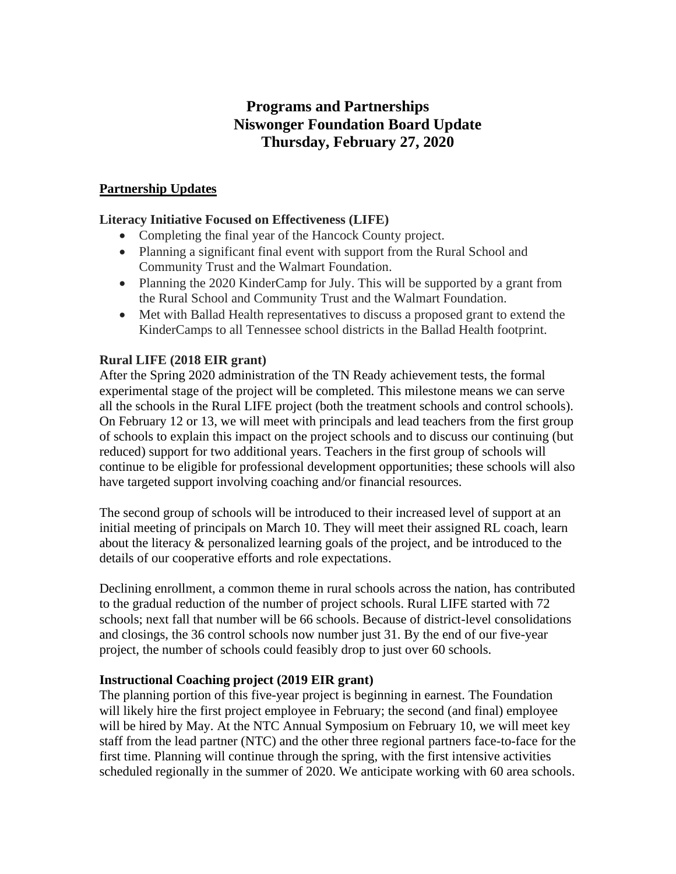# **Programs and Partnerships Niswonger Foundation Board Update Thursday, February 27, 2020**

### **Partnership Updates**

### **Literacy Initiative Focused on Effectiveness (LIFE)**

- Completing the final year of the Hancock County project.
- Planning a significant final event with support from the Rural School and Community Trust and the Walmart Foundation.
- Planning the 2020 KinderCamp for July. This will be supported by a grant from the Rural School and Community Trust and the Walmart Foundation.
- Met with Ballad Health representatives to discuss a proposed grant to extend the KinderCamps to all Tennessee school districts in the Ballad Health footprint.

#### **Rural LIFE (2018 EIR grant)**

After the Spring 2020 administration of the TN Ready achievement tests, the formal experimental stage of the project will be completed. This milestone means we can serve all the schools in the Rural LIFE project (both the treatment schools and control schools). On February 12 or 13, we will meet with principals and lead teachers from the first group of schools to explain this impact on the project schools and to discuss our continuing (but reduced) support for two additional years. Teachers in the first group of schools will continue to be eligible for professional development opportunities; these schools will also have targeted support involving coaching and/or financial resources.

The second group of schools will be introduced to their increased level of support at an initial meeting of principals on March 10. They will meet their assigned RL coach, learn about the literacy & personalized learning goals of the project, and be introduced to the details of our cooperative efforts and role expectations.

Declining enrollment, a common theme in rural schools across the nation, has contributed to the gradual reduction of the number of project schools. Rural LIFE started with 72 schools; next fall that number will be 66 schools. Because of district-level consolidations and closings, the 36 control schools now number just 31. By the end of our five-year project, the number of schools could feasibly drop to just over 60 schools.

#### **Instructional Coaching project (2019 EIR grant)**

The planning portion of this five-year project is beginning in earnest. The Foundation will likely hire the first project employee in February; the second (and final) employee will be hired by May. At the NTC Annual Symposium on February 10, we will meet key staff from the lead partner (NTC) and the other three regional partners face-to-face for the first time. Planning will continue through the spring, with the first intensive activities scheduled regionally in the summer of 2020. We anticipate working with 60 area schools.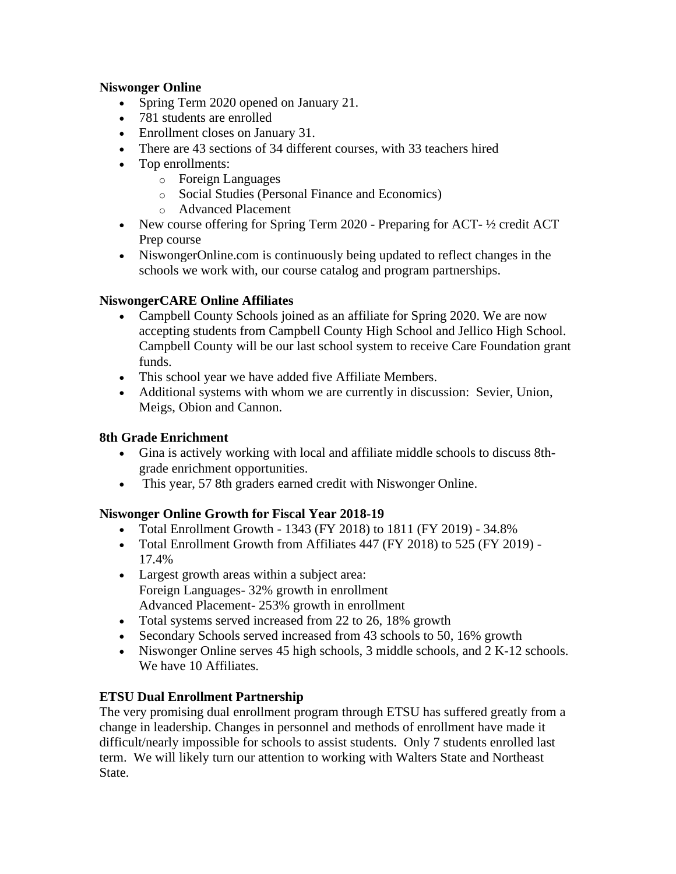### **Niswonger Online**

- Spring Term 2020 opened on January 21.
- 781 students are enrolled
- Enrollment closes on January 31.
- There are 43 sections of 34 different courses, with 33 teachers hired
- Top enrollments:
	- o Foreign Languages
	- o Social Studies (Personal Finance and Economics)
	- o Advanced Placement
- New course offering for Spring Term 2020 Preparing for ACT-  $\frac{1}{2}$  credit ACT Prep course
- NiswongerOnline.com is continuously being updated to reflect changes in the schools we work with, our course catalog and program partnerships.

### **NiswongerCARE Online Affiliates**

- Campbell County Schools joined as an affiliate for Spring 2020. We are now accepting students from Campbell County High School and Jellico High School. Campbell County will be our last school system to receive Care Foundation grant funds.
- This school year we have added five Affiliate Members.
- Additional systems with whom we are currently in discussion: Sevier, Union, Meigs, Obion and Cannon.

### **8th Grade Enrichment**

- Gina is actively working with local and affiliate middle schools to discuss 8thgrade enrichment opportunities.
- This year, 57 8th graders earned credit with Niswonger Online.

## **Niswonger Online Growth for Fiscal Year 2018-19**

- Total Enrollment Growth 1343 (FY 2018) to 1811 (FY 2019) 34.8%
- Total Enrollment Growth from Affiliates 447 (FY 2018) to 525 (FY 2019) -17.4%
- Largest growth areas within a subject area: Foreign Languages- 32% growth in enrollment Advanced Placement- 253% growth in enrollment
- Total systems served increased from 22 to 26, 18% growth
- Secondary Schools served increased from 43 schools to 50, 16% growth
- Niswonger Online serves 45 high schools, 3 middle schools, and 2 K-12 schools. We have 10 Affiliates.

## **ETSU Dual Enrollment Partnership**

The very promising dual enrollment program through ETSU has suffered greatly from a change in leadership. Changes in personnel and methods of enrollment have made it difficult/nearly impossible for schools to assist students. Only 7 students enrolled last term. We will likely turn our attention to working with Walters State and Northeast State.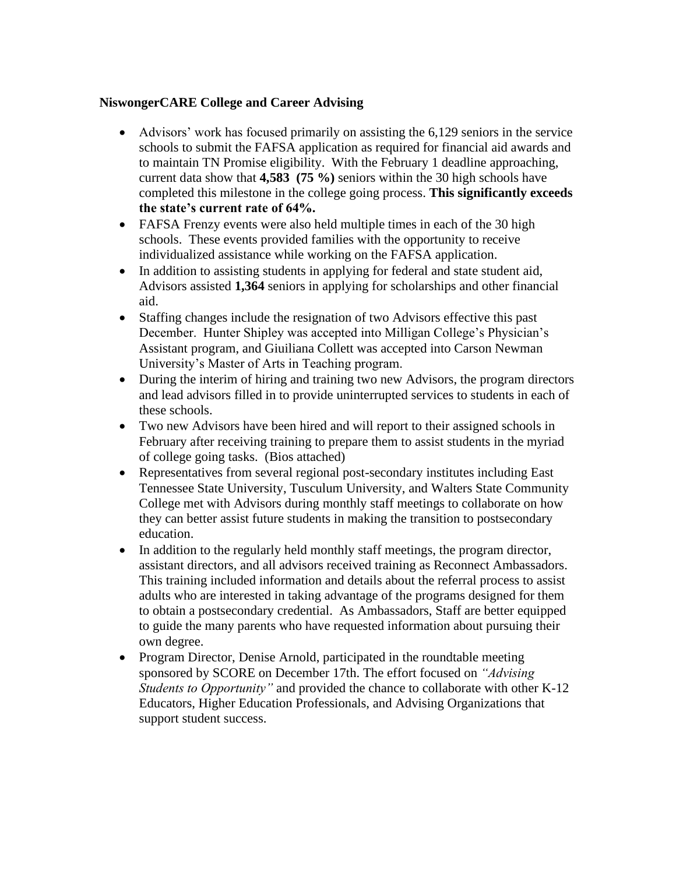### **NiswongerCARE College and Career Advising**

- Advisors' work has focused primarily on assisting the 6,129 seniors in the service schools to submit the FAFSA application as required for financial aid awards and to maintain TN Promise eligibility. With the February 1 deadline approaching, current data show that **4,583 (75 %)** seniors within the 30 high schools have completed this milestone in the college going process. **This significantly exceeds the state's current rate of 64%.**
- FAFSA Frenzy events were also held multiple times in each of the 30 high schools. These events provided families with the opportunity to receive individualized assistance while working on the FAFSA application.
- In addition to assisting students in applying for federal and state student aid, Advisors assisted **1,364** seniors in applying for scholarships and other financial aid.
- Staffing changes include the resignation of two Advisors effective this past December. Hunter Shipley was accepted into Milligan College's Physician's Assistant program, and Giuiliana Collett was accepted into Carson Newman University's Master of Arts in Teaching program.
- During the interim of hiring and training two new Advisors, the program directors and lead advisors filled in to provide uninterrupted services to students in each of these schools.
- Two new Advisors have been hired and will report to their assigned schools in February after receiving training to prepare them to assist students in the myriad of college going tasks. (Bios attached)
- Representatives from several regional post-secondary institutes including East Tennessee State University, Tusculum University, and Walters State Community College met with Advisors during monthly staff meetings to collaborate on how they can better assist future students in making the transition to postsecondary education.
- In addition to the regularly held monthly staff meetings, the program director, assistant directors, and all advisors received training as Reconnect Ambassadors. This training included information and details about the referral process to assist adults who are interested in taking advantage of the programs designed for them to obtain a postsecondary credential. As Ambassadors, Staff are better equipped to guide the many parents who have requested information about pursuing their own degree.
- Program Director, Denise Arnold, participated in the roundtable meeting sponsored by SCORE on December 17th. The effort focused on *"Advising Students to Opportunity"* and provided the chance to collaborate with other K-12 Educators, Higher Education Professionals, and Advising Organizations that support student success.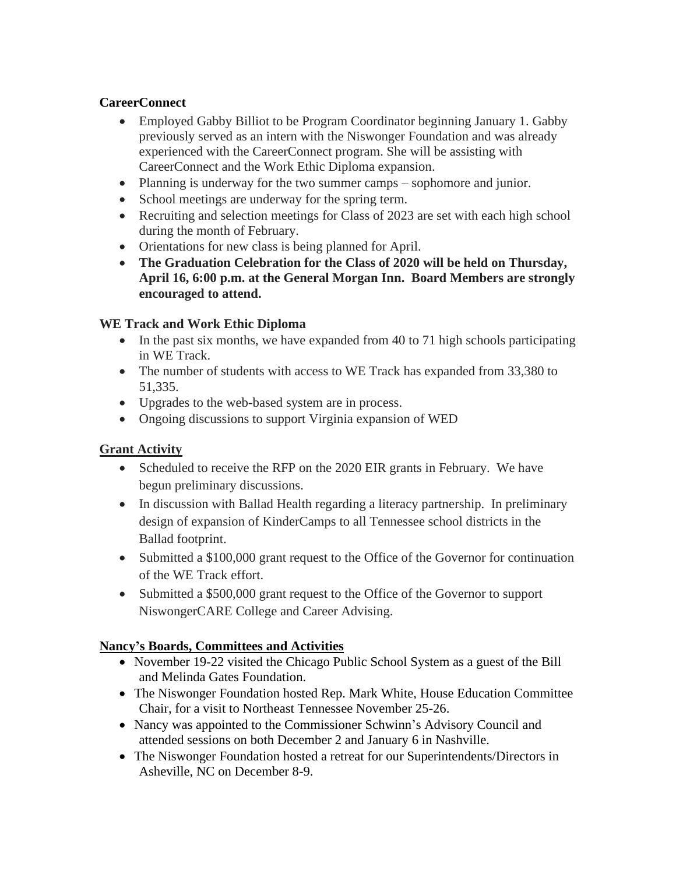### **CareerConnect**

- Employed Gabby Billiot to be Program Coordinator beginning January 1. Gabby previously served as an intern with the Niswonger Foundation and was already experienced with the CareerConnect program. She will be assisting with CareerConnect and the Work Ethic Diploma expansion.
- Planning is underway for the two summer camps sophomore and junior.
- School meetings are underway for the spring term.
- Recruiting and selection meetings for Class of 2023 are set with each high school during the month of February.
- Orientations for new class is being planned for April.
- **The Graduation Celebration for the Class of 2020 will be held on Thursday, April 16, 6:00 p.m. at the General Morgan Inn. Board Members are strongly encouraged to attend.**

### **WE Track and Work Ethic Diploma**

- In the past six months, we have expanded from 40 to 71 high schools participating in WE Track.
- The number of students with access to WE Track has expanded from 33,380 to 51,335.
- Upgrades to the web-based system are in process.
- Ongoing discussions to support Virginia expansion of WED

## **Grant Activity**

- Scheduled to receive the RFP on the 2020 EIR grants in February. We have begun preliminary discussions.
- In discussion with Ballad Health regarding a literacy partnership. In preliminary design of expansion of KinderCamps to all Tennessee school districts in the Ballad footprint.
- Submitted a \$100,000 grant request to the Office of the Governor for continuation of the WE Track effort.
- Submitted a \$500,000 grant request to the Office of the Governor to support NiswongerCARE College and Career Advising.

### **Nancy's Boards, Committees and Activities**

- November 19-22 visited the Chicago Public School System as a guest of the Bill and Melinda Gates Foundation.
- The Niswonger Foundation hosted Rep. Mark White, House Education Committee Chair, for a visit to Northeast Tennessee November 25-26.
- Nancy was appointed to the Commissioner Schwinn's Advisory Council and attended sessions on both December 2 and January 6 in Nashville.
- The Niswonger Foundation hosted a retreat for our Superintendents/Directors in Asheville, NC on December 8-9.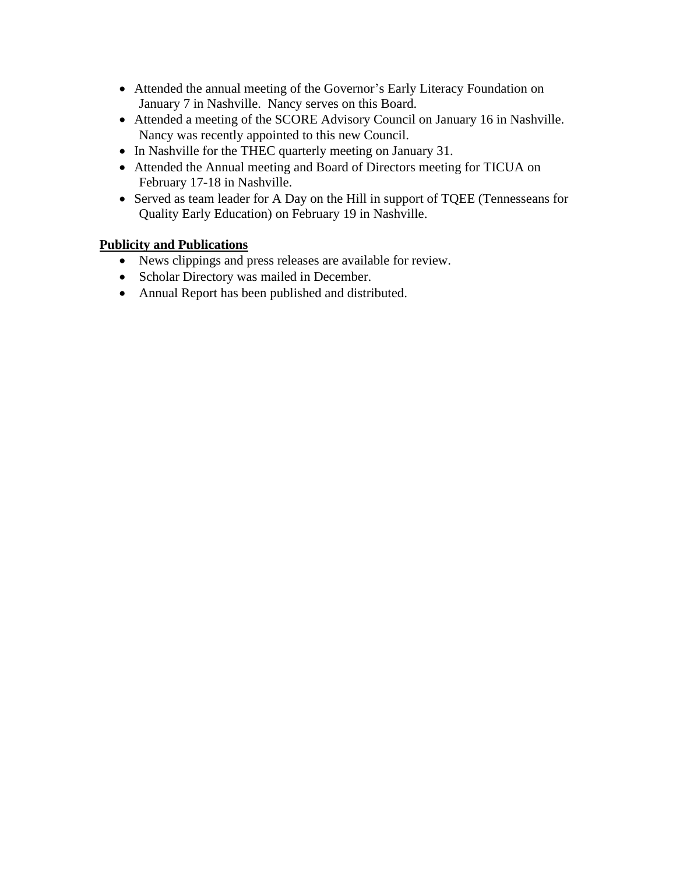- Attended the annual meeting of the Governor's Early Literacy Foundation on January 7 in Nashville. Nancy serves on this Board.
- Attended a meeting of the SCORE Advisory Council on January 16 in Nashville. Nancy was recently appointed to this new Council.
- In Nashville for the THEC quarterly meeting on January 31.
- Attended the Annual meeting and Board of Directors meeting for TICUA on February 17-18 in Nashville.
- Served as team leader for A Day on the Hill in support of TQEE (Tennesseans for Quality Early Education) on February 19 in Nashville.

### **Publicity and Publications**

- News clippings and press releases are available for review.
- Scholar Directory was mailed in December.
- Annual Report has been published and distributed.